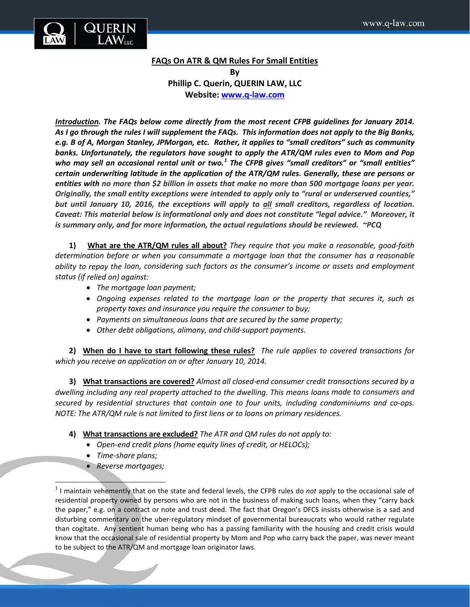

## **FAQs On ATR & QM Rules For Small Entities**

**By Phillip C. Querin, QUERIN LAW, LLC Website: [www.q-law.com](http://www.q-law.com/)**

*Introduction. The FAQs below come directly from the most recent CFPB guidelines for January 2014. As I go through the rules I will supplement the FAQs. This information does not apply to the Big Banks, e.g. B of A, Morgan Stanley, JPMorgan, etc. Rather, it applies to "small creditors" such as community banks. Unfortunately, the regulators have sought to apply the ATR/QM rules even to Mom and Pop who may sell an occasional rental unit or two.[1](#page-0-0) The CFPB gives "small creditors" or "small entities" certain underwriting latitude in the application of the ATR/QM rules. Generally, these are persons or entities with no more than \$2 billion in assets that make no more than 500 mortgage loans per year. Originally, the small entity exceptions were intended to apply only to "rural or underserved counties," but until January 10, 2016, the exceptions will apply to all small creditors, regardless of location. Caveat: This material below is informational only and does not constitute "legal advice." Moreover, it is summary only, and for more information, the actual regulations should be reviewed. ~PCQ*

**1) What are the ATR/QM rules all about?** *They require that you make a reasonable, good-faith determination before or when you consummate a mortgage loan that the consumer has a reasonable ability to repay the loan, considering such factors as the consumer's income or assets and employment status (if relied on) against:* 

- *The mortgage loan payment;*
- *Ongoing expenses related to the mortgage loan or the property that secures it, such as property taxes and insurance you require the consumer to buy;*
- *Payments on simultaneous loans that are secured by the same property;*
- *Other debt obligations, alimony, and child-support payments.*

**2) When do I have to start following these rules?** *The rule applies to covered transactions for which you receive an application on or after January 10, 2014.*

**3) What transactions are covered?** *Almost all closed-end consumer credit transactions secured by a dwelling including any real property attached to the dwelling. This means loans made to consumers and secured by residential structures that contain one to four units, including condominiums and co-ops. NOTE: The ATR/QM rule is not limited to first liens or to loans on primary residences.*

- **4) What transactions are excluded?** *The ATR and QM rules do not apply to:*
	- *Open-end credit plans (home equity lines of credit, or HELOCs);*
	- *Time-share plans;*
	- *Reverse mortgages;*

<span id="page-0-0"></span><sup>&</sup>lt;sup>1</sup> I maintain vehemently that on the state and federal levels, the CFPB rules do *not* apply to the occasional sale of residential property owned by persons who are not in the business of making such loans, when they "carry back the paper," e.g. on a contract or note and trust deed. The fact that Oregon's DFCS insists otherwise is a sad and disturbing commentary on the uber-regulatory mindset of governmental bureaucrats who would rather regulate than cogitate. Any sentient human being who has a passing familiarity with the housing and credit crisis would know that the occasional sale of residential property by Mom and Pop who carry back the paper, was never meant to be subject to the ATR/QM and mortgage loan originator laws.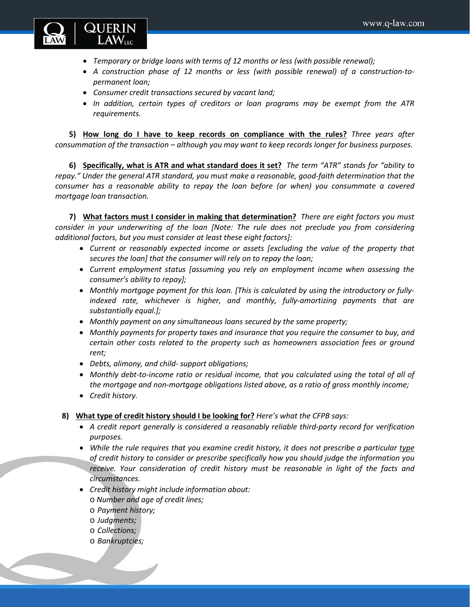

- *Temporary or bridge loans with terms of 12 months or less (with possible renewal);*
- *A construction phase of 12 months or less (with possible renewal) of a construction-topermanent loan;*
- *Consumer credit transactions secured by vacant land;*
- *In addition, certain types of creditors or loan programs may be exempt from the ATR requirements.*

**5) How long do I have to keep records on compliance with the rules?** *Three years after consummation of the transaction – although you may want to keep records longer for business purposes.*

**6) Specifically, what is ATR and what standard does it set?** *The term "ATR" stands for "ability to repay." Under the general ATR standard, you must make a reasonable, good-faith determination that the consumer has a reasonable ability to repay the loan before (or when) you consummate a covered mortgage loan transaction.*

**7) What factors must I consider in making that determination?** *There are eight factors you must consider in your underwriting of the loan [Note: The rule does not preclude you from considering additional factors, but you must consider at least these eight factors]:*

- *Current or reasonably expected income or assets [excluding the value of the property that secures the loan] that the consumer will rely on to repay the loan;*
- *Current employment status [assuming you rely on employment income when assessing the consumer's ability to repay];*
- *Monthly mortgage payment for this loan. [This is calculated by using the introductory or fullyindexed rate, whichever is higher, and monthly, fully-amortizing payments that are substantially equal.];*
- *Monthly payment on any simultaneous loans secured by the same property;*
- *Monthly payments for property taxes and insurance that you require the consumer to buy, and certain other costs related to the property such as homeowners association fees or ground rent;*
- *Debts, alimony, and child- support obligations;*
- *Monthly debt-to-income ratio or residual income, that you calculated using the total of all of the mortgage and non-mortgage obligations listed above, as a ratio of gross monthly income;*
- *Credit history.*
- **8) What type of credit history should I be looking for?** *Here's what the CFPB says:*
	- *A credit report generally is considered a reasonably reliable third-party record for verification purposes.*
	- *While the rule requires that you examine credit history, it does not prescribe a particular type of credit history to consider or prescribe specifically how you should judge the information you receive. Your consideration of credit history must be reasonable in light of the facts and circumstances.*
	- *Credit history might include information about:*
		- o *Number and age of credit lines;*
		- o *Payment history;*
		- o *Judgments;*
		- o *Collections;*
		- o *Bankruptcies;*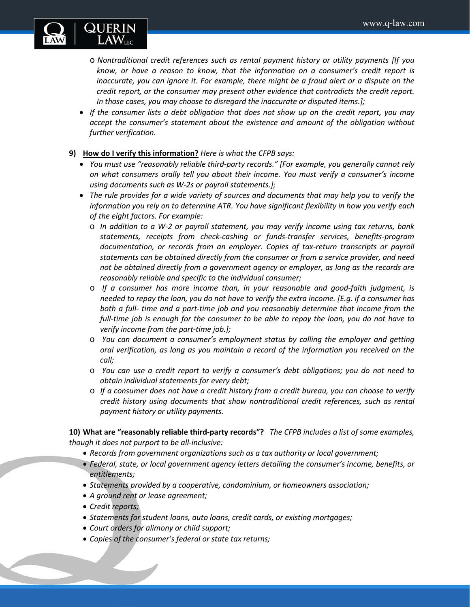

- o *Nontraditional credit references such as rental payment history or utility payments [If you know, or have a reason to know, that the information on a consumer's credit report is inaccurate, you can ignore it. For example, there might be a fraud alert or a dispute on the credit report, or the consumer may present other evidence that contradicts the credit report. In those cases, you may choose to disregard the inaccurate or disputed items.];*
- *If the consumer lists a debt obligation that does not show up on the credit report, you may accept the consumer's statement about the existence and amount of the obligation without further verification.*
- **9) How do I verify this information?** *Here is what the CFPB says:*
	- *You must use "reasonably reliable third-party records." [For example, you generally cannot rely on what consumers orally tell you about their income. You must verify a consumer's income using documents such as W-2s or payroll statements.];*
	- *The rule provides for a wide variety of sources and documents that may help you to verify the information you rely on to determine ATR. You have significant flexibility in how you verify each of the eight factors. For example:*
		- o *In addition to a W-2 or payroll statement, you may verify income using tax returns, bank statements, receipts from check-cashing or funds-transfer services, benefits-program documentation, or records from an employer. Copies of tax-return transcripts or payroll statements can be obtained directly from the consumer or from a service provider, and need not be obtained directly from a government agency or employer, as long as the records are reasonably reliable and specific to the individual consumer;*
		- o *If a consumer has more income than, in your reasonable and good-faith judgment, is needed to repay the loan, you do not have to verify the extra income. [E.g. if a consumer has both a full- time and a part-time job and you reasonably determine that income from the full-time job is enough for the consumer to be able to repay the loan, you do not have to verify income from the part-time job.];*
		- o *You can document a consumer's employment status by calling the employer and getting oral verification, as long as you maintain a record of the information you received on the call;*
		- o *You can use a credit report to verify a consumer's debt obligations; you do not need to obtain individual statements for every debt;*
		- o *If a consumer does not have a credit history from a credit bureau, you can choose to verify credit history using documents that show nontraditional credit references, such as rental payment history or utility payments.*

**10) What are "reasonably reliable third-party records"?** *The CFPB includes a list of some examples, though it does not purport to be all-inclusive:*

- *Records from government organizations such as a tax authority or local government;*
- *Federal, state, or local government agency letters detailing the consumer's income, benefits, or entitlements;*
- *Statements provided by a cooperative, condominium, or homeowners association;*
- *A ground rent or lease agreement;*
- *Credit reports;*
- *Statements for student loans, auto loans, credit cards, or existing mortgages;*
- *Court orders for alimony or child support;*
- *Copies of the consumer's federal or state tax returns;*